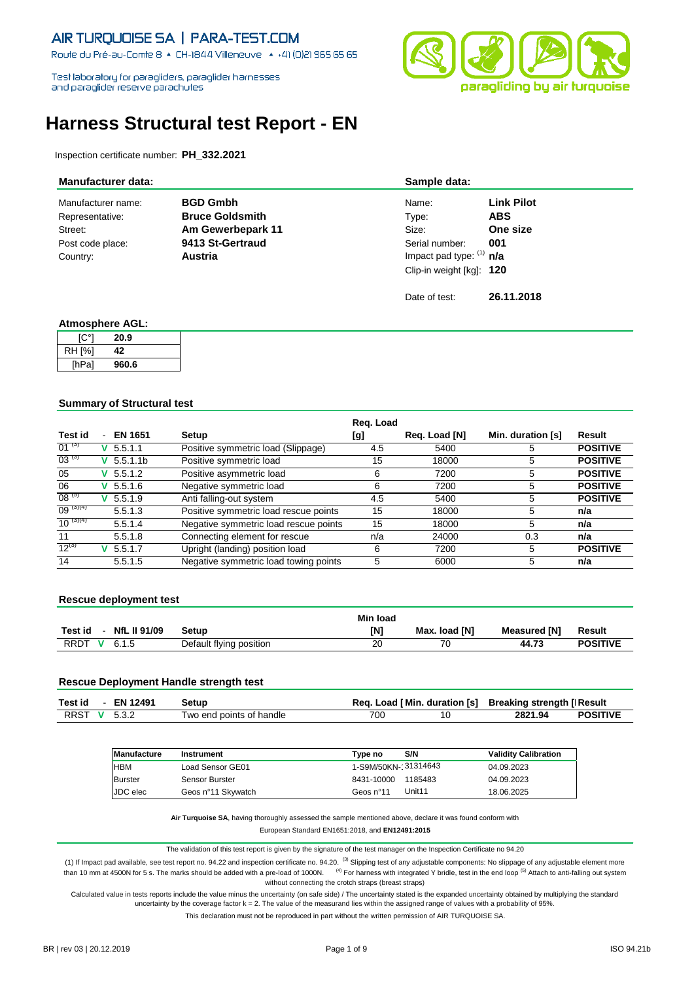Route du Pré-au-Comte 8 + CH-1844 Villeneuve + +41 (0)21 965 65 65

Test laboratory for paragliders, paraglider hamesses and paraglider reserve parachutes



# **Harness Structural test Report - EN**

Inspection certificate number: **PH\_332.2021**

| <b>Manufacturer data:</b> |                        | Sample data:               |                   |
|---------------------------|------------------------|----------------------------|-------------------|
| Manufacturer name:        | <b>BGD Gmbh</b>        | Name:                      | <b>Link Pilot</b> |
| Representative:           | <b>Bruce Goldsmith</b> | Type:                      | <b>ABS</b>        |
| Street:                   | Am Gewerbepark 11      | Size:                      | One size          |
| Post code place:          | 9413 St-Gertraud       | Serial number:             | 001               |
| Country:                  | Austria                | Impact pad type: $(1)$ n/a |                   |
|                           |                        | Clip-in weight [kg]: 120   |                   |
|                           |                        | Date of test:              | 26.11.2018        |

#### **Atmosphere AGL:**

| [C°]          | 20.9  |
|---------------|-------|
| <b>RH [%]</b> | 42    |
| [hPa]         | 960.6 |

#### **Summary of Structural test**

|               |                          |                      |                                       | Reg. Load |               |                   |                 |
|---------------|--------------------------|----------------------|---------------------------------------|-----------|---------------|-------------------|-----------------|
| Test id       | $\overline{\phantom{0}}$ | <b>EN 1651</b>       | Setup                                 | [g]       | Reg. Load [N] | Min. duration [s] | Result          |
| $01^{(3)}$    |                          | $V$ 5.5.1.1          | Positive symmetric load (Slippage)    | 4.5       | 5400          | 5                 | <b>POSITIVE</b> |
| $03^{(3)}$    | v                        | 5.5.1.1 <sub>b</sub> | Positive symmetric load               | 15        | 18000         | 5                 | <b>POSITIVE</b> |
| 05            | v                        | 5.5.1.2              | Positive asymmetric load              | 6         | 7200          | 5                 | <b>POSITIVE</b> |
| 06            | v.                       | 5.5.1.6              | Negative symmetric load               | 6         | 7200          | 5                 | <b>POSITIVE</b> |
| $08^{(5)}$    |                          | $V$ 5.5.1.9          | Anti falling-out system               | 4.5       | 5400          | 5                 | <b>POSITIVE</b> |
| $09^{(3)(4)}$ |                          | 5.5.1.3              | Positive symmetric load rescue points | 15        | 18000         | 5                 | n/a             |
| $10^{(3)(4)}$ |                          | 5.5.1.4              | Negative symmetric load rescue points | 15        | 18000         | 5                 | n/a             |
| 11            |                          | 5.5.1.8              | Connecting element for rescue         | n/a       | 24000         | 0.3               | n/a             |
| $12^{(3)}$    |                          | $V$ 5.5.1.7          | Upright (landing) position load       | 6         | 7200          | 5                 | <b>POSITIVE</b> |
| 14            |                          | 5.5.1.5              | Negative symmetric load towing points | 5         | 6000          | 5                 | n/a             |

#### **Rescue deployment test**

|                                          |                         | <b>Min load</b> |               |              |                 |
|------------------------------------------|-------------------------|-----------------|---------------|--------------|-----------------|
| <b>NfL II 91/09</b><br>Test id<br>$\sim$ | Setup                   | <b>IN1</b>      | Max. load IN1 | Measured [N] | Result          |
| <b>RRDT</b><br>6.1.5<br>$\mathbf{v}$     | Default flying position | 20              | 70            | 44.73        | <b>POSITIVE</b> |

#### **Rescue Deployment Handle strength test**

| Test id      | $-$ EN 12491 | Setup                    |     | Req. Load [Min. duration [s] Breaking strength [Result |                 |
|--------------|--------------|--------------------------|-----|--------------------------------------------------------|-----------------|
| RRST V 5.3.2 |              | Two end points of handle | 700 | 2821.94                                                | <b>POSITIVE</b> |

| Manufacture    | Instrument         | S/N<br>Tvpe no        | <b>Validity Calibration</b> |
|----------------|--------------------|-----------------------|-----------------------------|
| <b>HBM</b>     | Load Sensor GE01   | 1-S9M/50KN-131314643  | 04.09.2023                  |
| <b>Burster</b> | Sensor Burster     | 1185483<br>8431-10000 | 04.09.2023                  |
| JDC elec       | Geos n°11 Skywatch | Unit11<br>Geos n°11   | 18.06.2025                  |

**Air Turquoise SA**, having thoroughly assessed the sample mentioned above, declare it was found conform with

European Standard EN1651:2018, and **EN12491:2015**

The validation of this test report is given by the signature of the test manager on the Inspection Certificate no 94.20

(1) If Impact pad available, see test report no. 94.22 and inspection certificate no. 94.20. (3) Slipping test of any adjustable components: No slippage of any adjustable element more than 10 mm at 4500N for 5 s. The marks should be added with a pre-load of 1000N. <sup>(4)</sup> For harness with integrated Y bridle, test in the end loop <sup>(5)</sup> Attach to anti-falling out system without connecting the crotch straps (breast straps)

Calculated value in tests reports include the value minus the uncertainty (on safe side) / The uncertainty stated is the expanded uncertainty obtained by multiplying the standard uncertainty by the coverage factor k = 2. The value of the measurand lies within the assigned range of values with a probability of 95%.

This declaration must not be reproduced in part without the written permission of AIR TURQUOISE SA.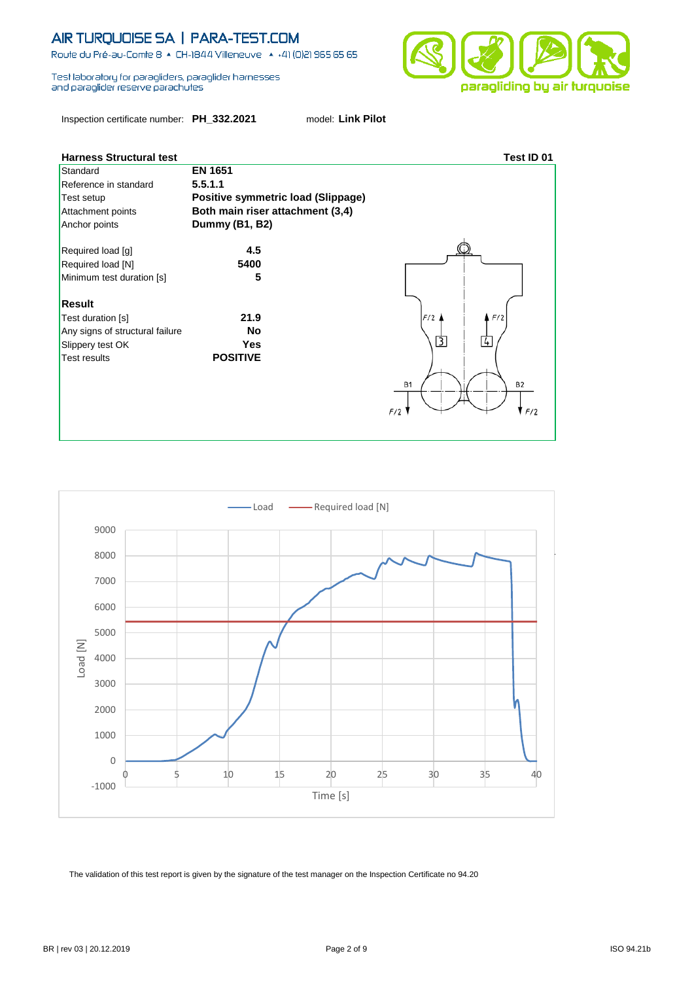Route du Pré-au-Comte 8 & CH-1844 Villeneuve | 4 +41 (0)21 965 65 65

Test laboratory for paragliders, paraglider hamesses and paraglider reserve parachutes

Inspection certificate number: **PH\_332.2021** model: **Link Pilot**



| <u>Fiallicss oli uululai lest</u> |                                    | 1591 ILL VI            |
|-----------------------------------|------------------------------------|------------------------|
| Standard                          | <b>EN 1651</b>                     |                        |
| Reference in standard             | 5.5.1.1                            |                        |
| Test setup                        | Positive symmetric load (Slippage) |                        |
| Attachment points                 | Both main riser attachment (3,4)   |                        |
| Anchor points                     | Dummy (B1, B2)                     |                        |
| Required load [g]                 | 4.5                                |                        |
| Required load [N]                 | 5400                               |                        |
| Minimum test duration [s]         | 5                                  |                        |
|                                   |                                    |                        |
| <b>Result</b>                     |                                    |                        |
| Test duration [s]                 | 21.9                               | F/2<br>F/2             |
| Any signs of structural failure   | No                                 |                        |
| Slippery test OK                  | Yes                                | $\overline{3}$<br>4    |
| <b>Test results</b>               | <b>POSITIVE</b>                    |                        |
|                                   |                                    |                        |
|                                   |                                    | <b>B2</b><br><b>B1</b> |
|                                   |                                    |                        |
|                                   |                                    | F/2                    |
|                                   |                                    |                        |
|                                   |                                    |                        |

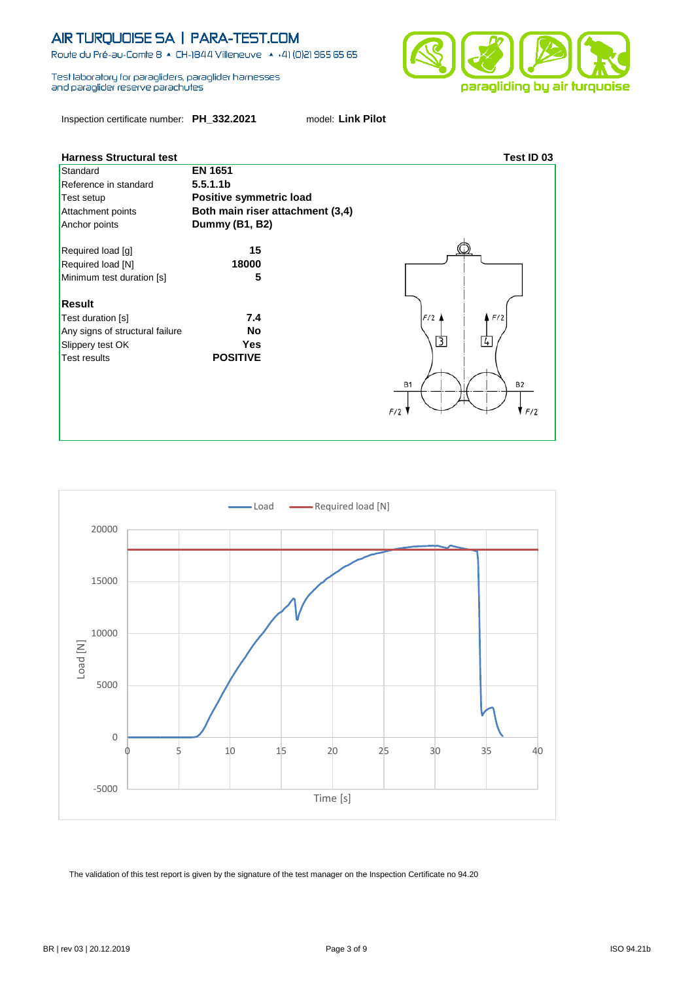Route du Pré-au-Comte 8 + CH-1844 Villeneuve + +41 (0)21 965 65 65

Test laboratory for paragliders, paraglider hamesses and paraglider reserve parachutes

Inspection certificate number: **PH\_332.2021** model: **Link Pilot**





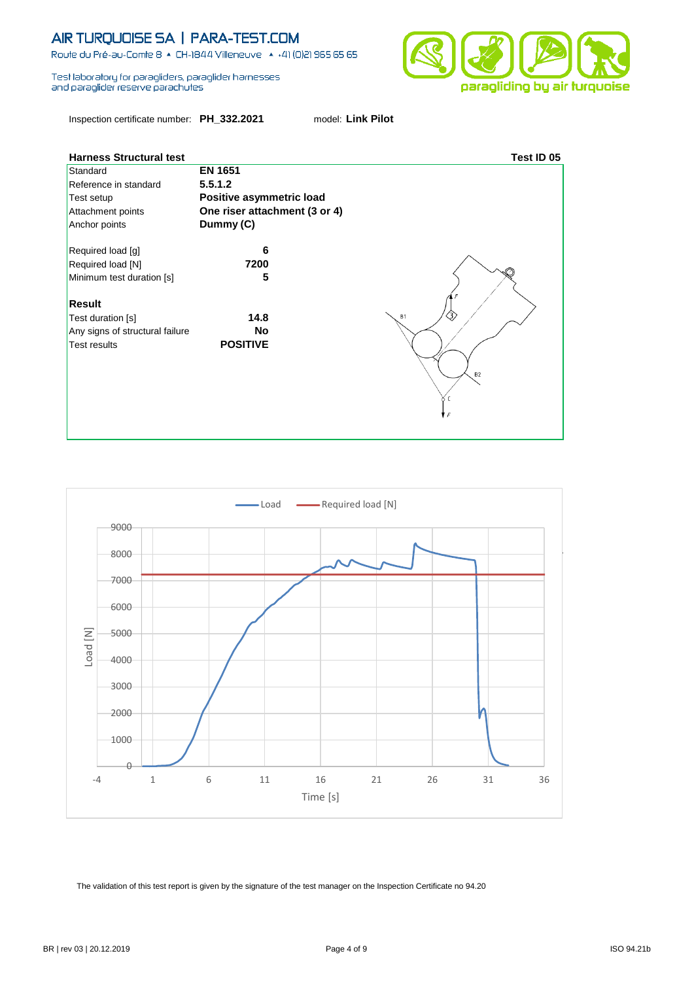Route du Pré-au-Comte 8 + CH-1844 Villeneuve + +41 (0)21 965 65 65

Test laboratory for paragliders, paraglider hamesses and paraglider reserve parachutes

Inspection certificate number: **PH\_332.2021** model: **Link Pilot**





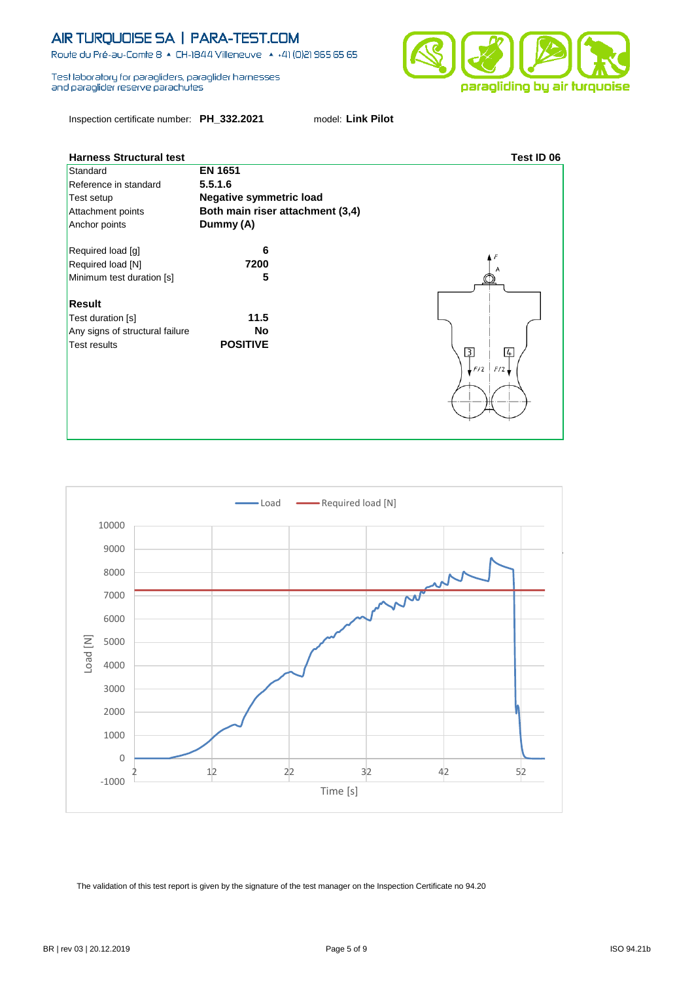Route du Pré-au-Comte 8 + CH-1844 Villeneuve + +41 (0)21 965 65 65

Test laboratory for paragliders, paraglider hamesses and paraglider reserve parachutes

Inspection certificate number: **PH\_332.2021** model: **Link Pilot**





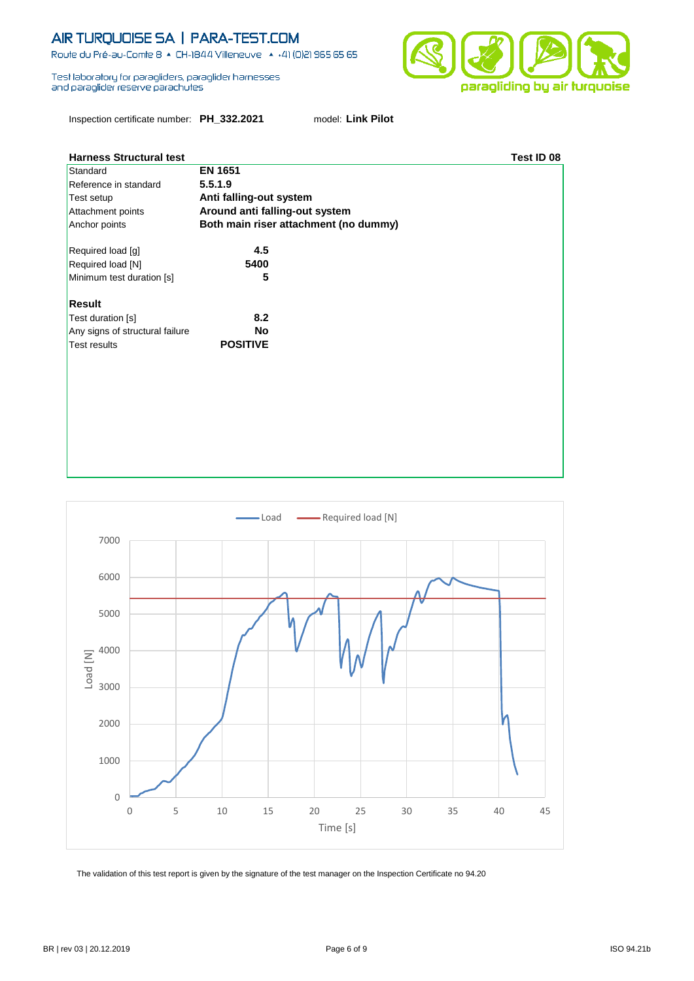Route du Pré-au-Comte 8 & CH-1844 Villeneuve | 4 +41 (0)21 965 65 65

Test laboratory for paragliders, paraglider hamesses and paraglider reserve parachutes



Inspection certificate number: **PH\_332.2021** model: **Link Pilot**

| <b>Harness Structural test</b>  |                                       | Test ID 08 |
|---------------------------------|---------------------------------------|------------|
| Standard                        | <b>EN 1651</b>                        |            |
| Reference in standard           | 5.5.1.9                               |            |
| Test setup                      | Anti falling-out system               |            |
| Attachment points               | Around anti falling-out system        |            |
| Anchor points                   | Both main riser attachment (no dummy) |            |
| Required load [g]               | 4.5                                   |            |
| Required load [N]               | 5400                                  |            |
| Minimum test duration [s]       | 5                                     |            |
| <b>Result</b>                   |                                       |            |
| Test duration [s]               | 8.2                                   |            |
| Any signs of structural failure | <b>No</b>                             |            |
| <b>Test results</b>             | <b>POSITIVE</b>                       |            |
|                                 |                                       |            |
|                                 |                                       |            |
|                                 |                                       |            |
|                                 |                                       |            |
|                                 |                                       |            |
|                                 |                                       |            |
|                                 |                                       |            |

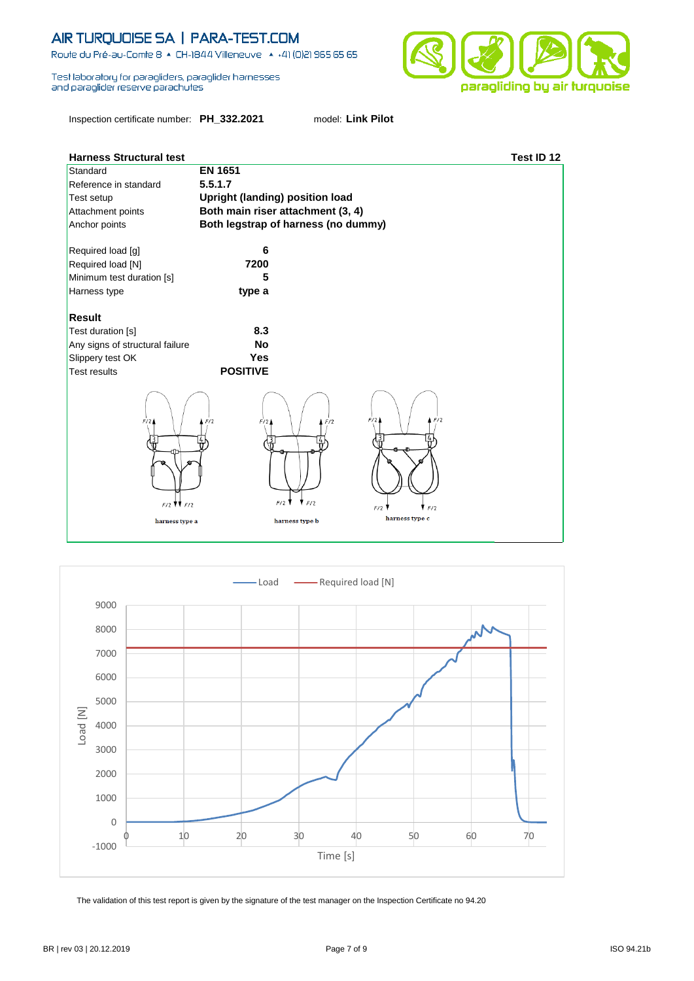Route du Pré-au-Comte 8 & CH-1844 Villeneuve | 4 +41 (0)21 965 65 65

Test laboratory for paragliders, paraglider hamesses and paraglider reserve parachutes

Inspection certificate number: **PH\_332.2021** model: **Link Pilot**



| <b>Harness Structural test</b>                   |                                        |                              |                                            | Test ID 12 |
|--------------------------------------------------|----------------------------------------|------------------------------|--------------------------------------------|------------|
| Standard                                         | <b>EN 1651</b>                         |                              |                                            |            |
| Reference in standard                            | 5.5.1.7                                |                              |                                            |            |
| Test setup                                       | <b>Upright (landing) position load</b> |                              |                                            |            |
| Attachment points                                | Both main riser attachment (3, 4)      |                              |                                            |            |
| Anchor points                                    | Both legstrap of harness (no dummy)    |                              |                                            |            |
|                                                  |                                        |                              |                                            |            |
| Required load [g]                                | 6                                      |                              |                                            |            |
| Required load [N]                                | 7200                                   |                              |                                            |            |
| Minimum test duration [s]                        | 5                                      |                              |                                            |            |
| Harness type                                     | type a                                 |                              |                                            |            |
|                                                  |                                        |                              |                                            |            |
| <b>Result</b>                                    |                                        |                              |                                            |            |
| Test duration [s]                                | 8.3                                    |                              |                                            |            |
| Any signs of structural failure                  | <b>No</b>                              |                              |                                            |            |
| Slippery test OK                                 | <b>Yes</b>                             |                              |                                            |            |
| <b>Test results</b>                              | <b>POSITIVE</b>                        |                              |                                            |            |
| F/2<br>$F/2$ $\parallel$ $F/2$<br>harness type a | F/2<br>F/2<br>F/2                      | F/2<br>F/2<br>harness type b | F/2<br>F/2<br>F/2<br>F/2<br>harness type c |            |

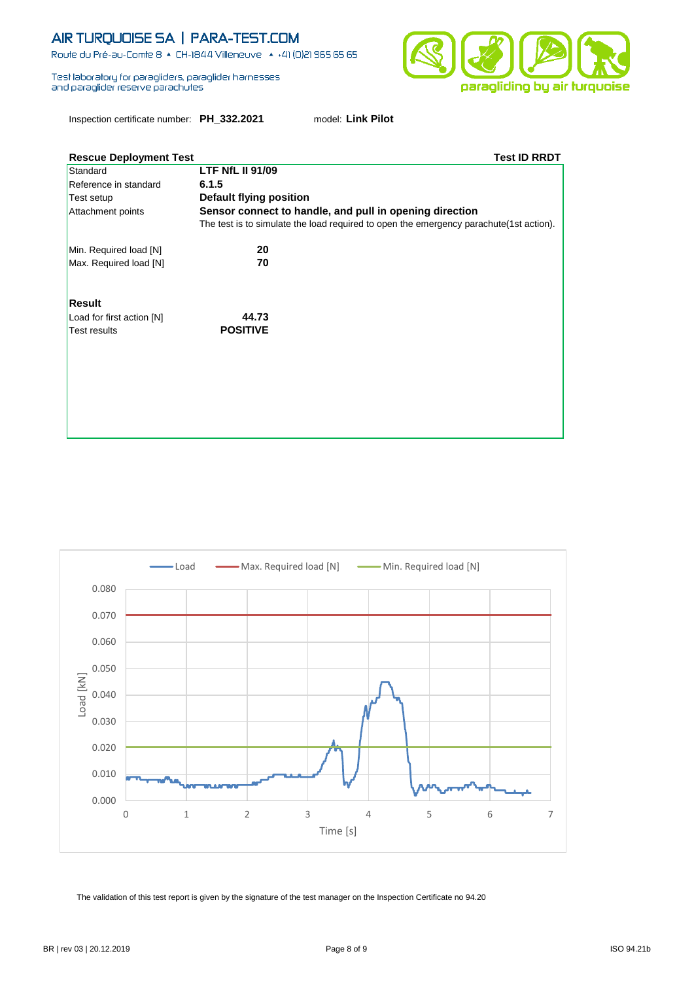Route du Pré-au-Comte 8 & CH-1844 Villeneuve | 4 +41 (0)21 965 65 65

Test laboratory for paragliders, paraglider hamesses and paraglider reserve parachutes

paragliding by air turquoise

Inspection certificate number: **PH\_332.2021** model: **Link Pilot**

| <b>Rescue Deployment Test</b> | <b>Test ID RRDT</b>                                                                    |  |
|-------------------------------|----------------------------------------------------------------------------------------|--|
| Standard                      | <b>LTF NfL II 91/09</b>                                                                |  |
| Reference in standard         | 6.1.5                                                                                  |  |
| Test setup                    | <b>Default flying position</b>                                                         |  |
| Attachment points             | Sensor connect to handle, and pull in opening direction                                |  |
|                               | The test is to simulate the load required to open the emergency parachute(1st action). |  |
| Min. Required load [N]        | 20                                                                                     |  |
| Max. Required load [N]        | 70                                                                                     |  |
| <b>Result</b>                 |                                                                                        |  |
| Load for first action [N]     | 44.73                                                                                  |  |
| <b>Test results</b>           | <b>POSITIVE</b>                                                                        |  |
|                               |                                                                                        |  |
|                               |                                                                                        |  |
|                               |                                                                                        |  |
|                               |                                                                                        |  |
|                               |                                                                                        |  |
|                               |                                                                                        |  |
|                               |                                                                                        |  |